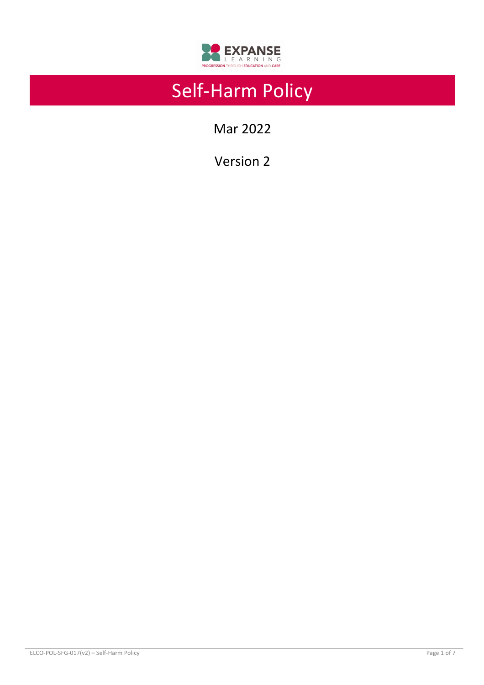

# Self-Harm Policy

Mar 2022

Version 2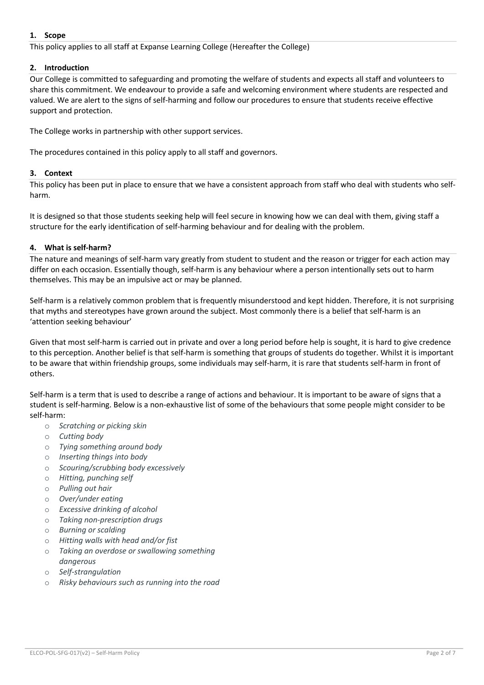# **1. Scope**

This policy applies to all staff at Expanse Learning College (Hereafter the College)

# **2. Introduction**

Our College is committed to safeguarding and promoting the welfare of students and expects all staff and volunteers to share this commitment. We endeavour to provide a safe and welcoming environment where students are respected and valued. We are alert to the signs of self-harming and follow our procedures to ensure that students receive effective support and protection.

The College works in partnership with other support services.

The procedures contained in this policy apply to all staff and governors.

# **3. Context**

This policy has been put in place to ensure that we have a consistent approach from staff who deal with students who selfharm.

It is designed so that those students seeking help will feel secure in knowing how we can deal with them, giving staff a structure for the early identification of self-harming behaviour and for dealing with the problem.

## **4. What is self-harm?**

The nature and meanings of self-harm vary greatly from student to student and the reason or trigger for each action may differ on each occasion. Essentially though, self-harm is any behaviour where a person intentionally sets out to harm themselves. This may be an impulsive act or may be planned.

Self-harm is a relatively common problem that is frequently misunderstood and kept hidden. Therefore, it is not surprising that myths and stereotypes have grown around the subject. Most commonly there is a belief that self-harm is an 'attention seeking behaviour'

Given that most self-harm is carried out in private and over a long period before help is sought, it is hard to give credence to this perception. Another belief is that self-harm is something that groups of students do together. Whilst it is important to be aware that within friendship groups, some individuals may self-harm, it is rare that students self-harm in front of others.

Self-harm is a term that is used to describe a range of actions and behaviour. It is important to be aware of signs that a student is self-harming. Below is a non-exhaustive list of some of the behaviours that some people might consider to be self-harm:

- o *Scratching or picking skin*
- o *Cutting body*
- o *Tying something around body*
- o *Inserting things into body*
- o *Scouring/scrubbing body excessively*
- o *Hitting, punching self*
- o *Pulling out hair*
- o *Over/under eating*
- o *Excessive drinking of alcohol*
- o *Taking non-prescription drugs*
- o *Burning or scalding*
- o *Hitting walls with head and/or fist*
- o *Taking an overdose or swallowing something dangerous*
- o *Self-strangulation*
- o *Risky behaviours such as running into the road*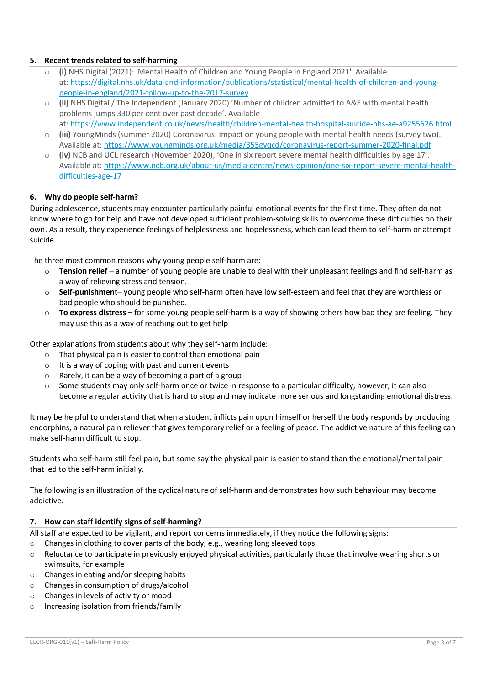# **5. Recent trends related to self-harming**

- (i) NHS Digital (2021): 'Mental Health of Children and Young People in England 2021'. Available at: https://digital.nhs.uk/data-and-information/publications/statistical/mental-health-of-children-and-youngpeople-in-england/2021-follow-up-to-the-2017-survey
- o **(ii)** NHS Digital / The Independent (January 2020) 'Number of children admitted to A&E with mental health problems jumps 330 per cent over past decade'. Available
- at: https://www.independent.co.uk/news/health/children-mental-health-hospital-suicide-nhs-ae-a9255626.html o **(iii)** YoungMinds (summer 2020) Coronavirus: Impact on young people with mental health needs (survey two).
- Available at: https://www.youngminds.org.uk/media/355gyqcd/coronavirus-report-summer-2020-final.pdf
- o **(iv)** NCB and UCL research (November 2020), 'One in six report severe mental health difficulties by age 17'. Available at: https://www.ncb.org.uk/about-us/media-centre/news-opinion/one-six-report-severe-mental-healthdifficulties-age-17

# **6. Why do people self-harm?**

During adolescence, students may encounter particularly painful emotional events for the first time. They often do not know where to go for help and have not developed sufficient problem-solving skills to overcome these difficulties on their own. As a result, they experience feelings of helplessness and hopelessness, which can lead them to self-harm or attempt suicide.

The three most common reasons why young people self-harm are:

- Tension relief a number of young people are unable to deal with their unpleasant feelings and find self-harm as a way of relieving stress and tension.
- o **Self-punishment** young people who self-harm often have low self-esteem and feel that they are worthless or bad people who should be punished.
- o **To express distress** for some young people self-harm is a way of showing others how bad they are feeling. They may use this as a way of reaching out to get help

Other explanations from students about why they self-harm include:

- o That physical pain is easier to control than emotional pain
- $\circ$  It is a way of coping with past and current events
- o Rarely, it can be a way of becoming a part of a group
- $\circ$  Some students may only self-harm once or twice in response to a particular difficulty, however, it can also become a regular activity that is hard to stop and may indicate more serious and longstanding emotional distress.

It may be helpful to understand that when a student inflicts pain upon himself or herself the body responds by producing endorphins, a natural pain reliever that gives temporary relief or a feeling of peace. The addictive nature of this feeling can make self-harm difficult to stop.

Students who self-harm still feel pain, but some say the physical pain is easier to stand than the emotional/mental pain that led to the self-harm initially.

The following is an illustration of the cyclical nature of self-harm and demonstrates how such behaviour may become addictive.

## **7. How can staff identify signs of self-harming?**

All staff are expected to be vigilant, and report concerns immediately, if they notice the following signs:

- $\circ$  Changes in clothing to cover parts of the body, e.g., wearing long sleeved tops
- o Reluctance to participate in previously enjoyed physical activities, particularly those that involve wearing shorts or swimsuits, for example
- o Changes in eating and/or sleeping habits
- o Changes in consumption of drugs/alcohol
- o Changes in levels of activity or mood
- o Increasing isolation from friends/family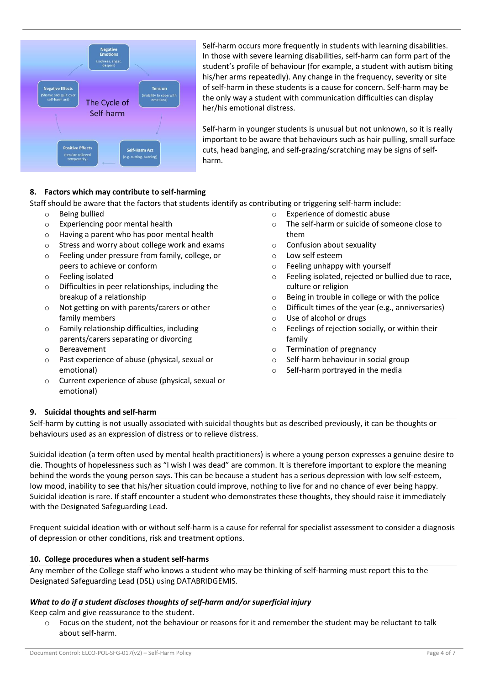

Self-harm occurs more frequently in students with learning disabilities. In those with severe learning disabilities, self-harm can form part of the student's profile of behaviour (for example, a student with autism biting his/her arms repeatedly). Any change in the frequency, severity or site of self-harm in these students is a cause for concern. Self-harm may be the only way a student with communication difficulties can display her/his emotional distress.

Self-harm in younger students is unusual but not unknown, so it is really important to be aware that behaviours such as hair pulling, small surface cuts, head banging, and self-grazing/scratching may be signs of selfharm.

# **8. Factors which may contribute to self-harming**

Staff should be aware that the factors that students identify as contributing or triggering self-harm include:

- o Being bullied
- o Experiencing poor mental health
- o Having a parent who has poor mental health
- o Stress and worry about college work and exams
- o Feeling under pressure from family, college, or peers to achieve or conform
- o Feeling isolated
- o Difficulties in peer relationships, including the breakup of a relationship
- o Not getting on with parents/carers or other family members
- o Family relationship difficulties, including parents/carers separating or divorcing
- o Bereavement
- o Past experience of abuse (physical, sexual or emotional)
- o Current experience of abuse (physical, sexual or emotional)
- o Experience of domestic abuse
- o The self-harm or suicide of someone close to them
- o Confusion about sexuality
- o Low self esteem
- o Feeling unhappy with yourself
- o Feeling isolated, rejected or bullied due to race, culture or religion
- o Being in trouble in college or with the police
- o Difficult times of the year (e.g., anniversaries)
- o Use of alcohol or drugs
- o Feelings of rejection socially, or within their family
- o Termination of pregnancy
- o Self-harm behaviour in social group
- o Self-harm portrayed in the media

## **9. Suicidal thoughts and self-harm**

Self-harm by cutting is not usually associated with suicidal thoughts but as described previously, it can be thoughts or behaviours used as an expression of distress or to relieve distress.

Suicidal ideation (a term often used by mental health practitioners) is where a young person expresses a genuine desire to die. Thoughts of hopelessness such as "I wish I was dead" are common. It is therefore important to explore the meaning behind the words the young person says. This can be because a student has a serious depression with low self-esteem, low mood, inability to see that his/her situation could improve, nothing to live for and no chance of ever being happy. Suicidal ideation is rare. If staff encounter a student who demonstrates these thoughts, they should raise it immediately with the Designated Safeguarding Lead.

Frequent suicidal ideation with or without self-harm is a cause for referral for specialist assessment to consider a diagnosis of depression or other conditions, risk and treatment options.

## **10. College procedures when a student self-harms**

Any member of the College staff who knows a student who may be thinking of self-harming must report this to the Designated Safeguarding Lead (DSL) using DATABRIDGEMIS.

# *What to do if a student discloses thoughts of self-harm and/or superficial injury*

Keep calm and give reassurance to the student.

 $\circ$  Focus on the student, not the behaviour or reasons for it and remember the student may be reluctant to talk about self-harm.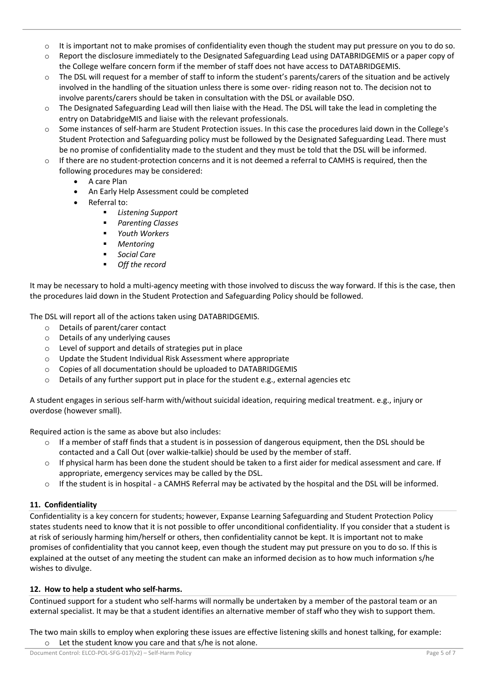- $\circ$  It is important not to make promises of confidentiality even though the student may put pressure on you to do so.
- o Report the disclosure immediately to the Designated Safeguarding Lead using DATABRIDGEMIS or a paper copy of the College welfare concern form if the member of staff does not have access to DATABRIDGEMIS.
- $\circ$  The DSL will request for a member of staff to inform the student's parents/carers of the situation and be actively involved in the handling of the situation unless there is some over- riding reason not to. The decision not to involve parents/carers should be taken in consultation with the DSL or available DSO.
- $\circ$  The Designated Safeguarding Lead will then liaise with the Head. The DSL will take the lead in completing the entry on DatabridgeMIS and liaise with the relevant professionals.
- o Some instances of self-harm are Student Protection issues. In this case the procedures laid down in the College's Student Protection and Safeguarding policy must be followed by the Designated Safeguarding Lead. There must be no promise of confidentiality made to the student and they must be told that the DSL will be informed.
- $\circ$  If there are no student-protection concerns and it is not deemed a referral to CAMHS is required, then the following procedures may be considered:
	- A care Plan
	- An Early Help Assessment could be completed
	- Referral to:
		- § *Listening Support*
		- § *Parenting Classes*
		- § *Youth Workers*
		- § *Mentoring*
		- Social Care
		- § *Off the record*

It may be necessary to hold a multi-agency meeting with those involved to discuss the way forward. If this is the case, then the procedures laid down in the Student Protection and Safeguarding Policy should be followed.

The DSL will report all of the actions taken using DATABRIDGEMIS.

- o Details of parent/carer contact
- o Details of any underlying causes
- o Level of support and details of strategies put in place
- o Update the Student Individual Risk Assessment where appropriate
- o Copies of all documentation should be uploaded to DATABRIDGEMIS
- $\circ$  Details of any further support put in place for the student e.g., external agencies etc

A student engages in serious self-harm with/without suicidal ideation, requiring medical treatment. e.g., injury or overdose (however small).

Required action is the same as above but also includes:

- $\circ$  If a member of staff finds that a student is in possession of dangerous equipment, then the DSL should be contacted and a Call Out (over walkie-talkie) should be used by the member of staff.
- If physical harm has been done the student should be taken to a first aider for medical assessment and care. If appropriate, emergency services may be called by the DSL.
- $\circ$  If the student is in hospital a CAMHS Referral may be activated by the hospital and the DSL will be informed.

## **11. Confidentiality**

Confidentiality is a key concern for students; however, Expanse Learning Safeguarding and Student Protection Policy states students need to know that it is not possible to offer unconditional confidentiality. If you consider that a student is at risk of seriously harming him/herself or others, then confidentiality cannot be kept. It is important not to make promises of confidentiality that you cannot keep, even though the student may put pressure on you to do so. If this is explained at the outset of any meeting the student can make an informed decision as to how much information s/he wishes to divulge.

## **12. How to help a student who self-harms.**

Continued support for a student who self-harms will normally be undertaken by a member of the pastoral team or an external specialist. It may be that a student identifies an alternative member of staff who they wish to support them.

The two main skills to employ when exploring these issues are effective listening skills and honest talking, for example: o Let the student know you care and that s/he is not alone.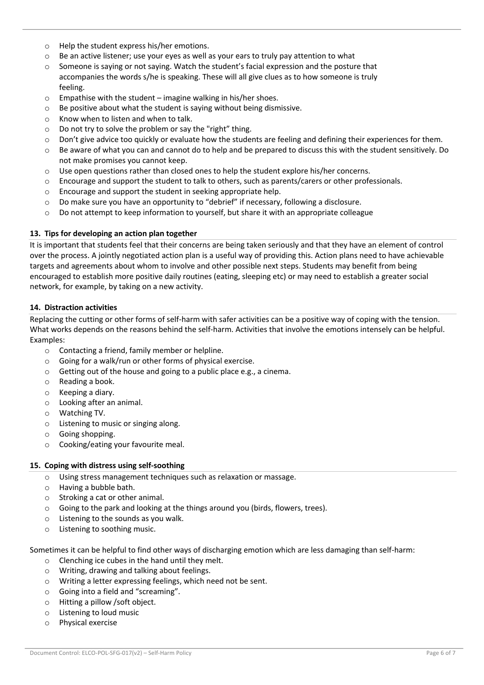- o Help the student express his/her emotions.
- $\circ$  Be an active listener; use your eyes as well as your ears to truly pay attention to what
- o Someone is saying or not saying. Watch the student's facial expression and the posture that accompanies the words s/he is speaking. These will all give clues as to how someone is truly feeling.
- $\circ$  Empathise with the student imagine walking in his/her shoes.
- o Be positive about what the student is saying without being dismissive.
- o Know when to listen and when to talk.
- o Do not try to solve the problem or say the "right" thing.
- $\circ$  Don't give advice too quickly or evaluate how the students are feeling and defining their experiences for them.
- $\circ$  Be aware of what you can and cannot do to help and be prepared to discuss this with the student sensitively. Do not make promises you cannot keep.
- $\circ$  Use open questions rather than closed ones to help the student explore his/her concerns.
- o Encourage and support the student to talk to others, such as parents/carers or other professionals.
- o Encourage and support the student in seeking appropriate help.
- $\circ$  Do make sure you have an opportunity to "debrief" if necessary, following a disclosure.
- $\circ$  Do not attempt to keep information to yourself, but share it with an appropriate colleague

#### **13. Tips for developing an action plan together**

It is important that students feel that their concerns are being taken seriously and that they have an element of control over the process. A jointly negotiated action plan is a useful way of providing this. Action plans need to have achievable targets and agreements about whom to involve and other possible next steps. Students may benefit from being encouraged to establish more positive daily routines (eating, sleeping etc) or may need to establish a greater social network, for example, by taking on a new activity.

#### **14. Distraction activities**

Replacing the cutting or other forms of self-harm with safer activities can be a positive way of coping with the tension. What works depends on the reasons behind the self-harm. Activities that involve the emotions intensely can be helpful. Examples:

- o Contacting a friend, family member or helpline.
- o Going for a walk/run or other forms of physical exercise.
- o Getting out of the house and going to a public place e.g., a cinema.
- o Reading a book.
- o Keeping a diary.
- o Looking after an animal.
- o Watching TV.
- o Listening to music or singing along.
- o Going shopping.
- o Cooking/eating your favourite meal.

#### **15. Coping with distress using self-soothing**

- o Using stress management techniques such as relaxation or massage.
- o Having a bubble bath.
- o Stroking a cat or other animal.
- o Going to the park and looking at the things around you (birds, flowers, trees).
- o Listening to the sounds as you walk.
- o Listening to soothing music.

Sometimes it can be helpful to find other ways of discharging emotion which are less damaging than self-harm:

- o Clenching ice cubes in the hand until they melt.
- o Writing, drawing and talking about feelings.
- o Writing a letter expressing feelings, which need not be sent.
- o Going into a field and "screaming".
- o Hitting a pillow /soft object.
- o Listening to loud music
- o Physical exercise